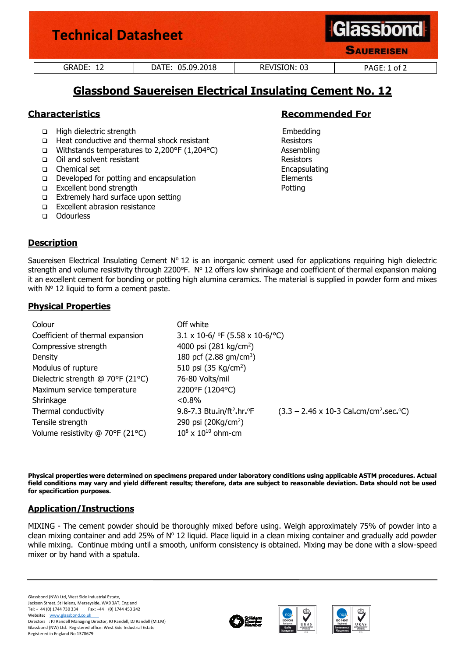| <b>Technical Datasheet</b> |                  | <b>Glassbond</b><br><b>SAUEREISEN</b> |              |
|----------------------------|------------------|---------------------------------------|--------------|
| GRADE: 12                  | DATE: 05.09.2018 | REVISION: 03                          | PAGE: 1 of 2 |

# **Glassbond Sauereisen Electrical Insulating Cement No. 12**

- ❑ High dielectric strength Embedding
- ❑ Heat conductive and thermal shock resistant Resistors
- ❑ Withstands temperatures to 2,200°F (1,204°C) Assembling
- ❑ Oil and solvent resistant Resistors
- ❑ Chemical set Encapsulating
- ❑ Developed for potting and encapsulation Elements
- ❑ Excellent bond strength Potting
- ❑ Extremely hard surface upon setting
- ❑ Excellent abrasion resistance
- ❑ Odourless

# **Characteristics Recommended For**

# **Description**

Sauereisen Electrical Insulating Cement  $N^{\circ}$  12 is an inorganic cement used for applications requiring high dielectric strength and volume resistivity through 2200°F. N° 12 offers low shrinkage and coefficient of thermal expansion making it an excellent cement for bonding or potting high alumina ceramics. The material is supplied in powder form and mixes with  $N^{\circ}$  12 liquid to form a cement paste.

# **Physical Properties**

| Colour                            | Off white                                       |                                                                            |
|-----------------------------------|-------------------------------------------------|----------------------------------------------------------------------------|
| Coefficient of thermal expansion  | $3.1 \times 10$ -6/ °F (5.58 x 10-6/°C)         |                                                                            |
| Compressive strength              | 4000 psi $(281 \text{ kg/cm}^2)$                |                                                                            |
| Density                           | 180 pcf $(2.88 \text{ gm/cm}^3)$                |                                                                            |
| Modulus of rupture                | 510 psi (35 Kg/cm <sup>2</sup> )                |                                                                            |
| Dielectric strength @ 70°F (21°C) | 76-80 Volts/mil                                 |                                                                            |
| Maximum service temperature       | 2200°F (1204°C)                                 |                                                                            |
| Shrinkage                         | $< 0.8\%$                                       |                                                                            |
| Thermal conductivity              | 9.8-7.3 Btu.in/ft <sup>2</sup> .hr. $\degree$ F | $(3.3 - 2.46 \times 10-3 \text{ Cal.cm/cm}^2 \text{ sec}^{\circ}\text{C})$ |
| Tensile strength                  | 290 psi (20Kg/cm <sup>2</sup> )                 |                                                                            |
| Volume resistivity @ 70°F (21°C)  | $10^8 \times 10^{10}$ ohm-cm                    |                                                                            |

**Physical properties were determined on specimens prepared under laboratory conditions using applicable ASTM procedures. Actual field conditions may vary and yield different results; therefore, data are subject to reasonable deviation. Data should not be used for specification purposes.**

# **Application/Instructions**

MIXING - The cement powder should be thoroughly mixed before using. Weigh approximately 75% of powder into a clean mixing container and add 25% of  $N<sup>o</sup>$  12 liquid. Place liquid in a clean mixing container and gradually add powder while mixing. Continue mixing until a smooth, uniform consistency is obtained. Mixing may be done with a slow-speed mixer or by hand with a spatula.

Glassbond (NW) Ltd, West Side Industrial Estate, Jackson Street, St Helens, Merseyside, WA9 3AT, England Fax: +44 (0) 1744 453 242 Website: www.glassbond.co.uk Directors : PJ Randell Managing Director, RJ Randell, DJ Randell (M.I.M) Glassbond (NW) Ltd. Registered office: West Side Industrial Estate Registered in England No 1378679